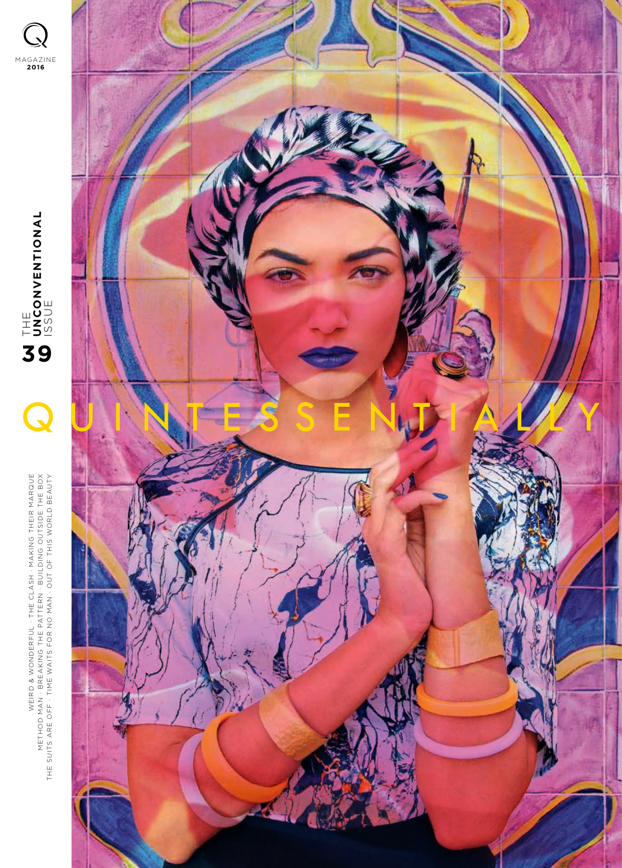MAGAZINE **2016UNCONDINAL** LISSUE<br>ISSUE<br>ISSUE **39** $\overline{\mathbf{C}}$ WONDERFUL . THE CLASH . MAKING THEIR MARQUE  $\succ$ METHOD MAN . BREAKING THE PATTERN . BUILDING OUTSIDE THE BOX THE SUITS ARE OFF . TIME WAITS FOR NO MAN . OUT OF THIS WORLD BEAUT WEIRD &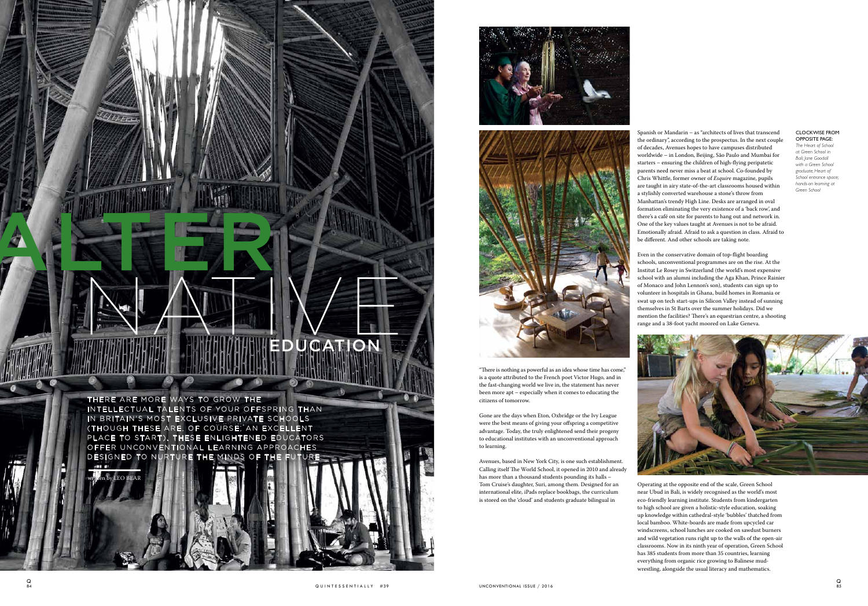Spanish or Mandarin – as "architects of lives that transcend the ordinary", according to the prospectus. In the next couple of decades, Avenues hopes to have campuses distributed worldwide – in London, Beijing, São Paulo and Mumbai for starters – ensuring the children of high-flying peripatetic parents need never miss a beat at school. Co-founded by Chris Whittle, former owner of *Esquire* magazine, pupils are taught in airy state-of-the-art classrooms housed within a stylishly converted warehouse a stone's throw from Manhattan's trendy High Line. Desks are arranged in oval formation eliminating the very existence of a 'back row', and there's a café on site for parents to hang out and network in. One of the key values taught at Avenues is not to be afraid. Emotionally afraid. Afraid to ask a question in class. Afraid to be different. And other schools are taking note.

Even in the conservative domain of top-flight boarding schools, unconventional programmes are on the rise. At the Institut Le Rosey in Switzerland (the world's most expensive school with an alumni including the Aga Khan, Prince Rainier of Monaco and John Lennon's son), students can sign up to volunteer in hospitals in Ghana, build homes in Romania or swat up on tech start-ups in Silicon Valley instead of sunning themselves in St Barts over the summer holidays. Did we mention the facilities? There's an equestrian centre, a shooting range and a 38-foot yacht moored on Lake Geneva.

"There is nothing as powerful as an idea whose time has come," is a quote attributed to the French poet Victor Hugo, and in the fast-changing world we live in, the statement has never been more apt – especially when it comes to educating the

> Operating at the opposite end of the scale, Green School near Ubud in Bali, is widely recognised as the world's most eco-friendly learning institute. Students from kindergarten to high school are given a holistic-style education, soaking up knowledge within cathedral-style 'bubbles' thatched from local bamboo. White-boards are made from upcycled car windscreens, school lunches are cooked on sawdust burners and wild vegetation runs right up to the walls of the open-air classrooms. Now in its ninth year of operation, Green School has 385 students from more than 35 countries, learning everything from organic rice growing to Balinese mudwrestling, alongside the usual literacy and mathematics.

citizens of tomorrow.

Gone are the days when Eton, Oxbridge or the Ivy League were the best means of giving your offspring a competitive advantage. Today, the truly enlightened send their progeny to educational institutes with an unconventional approach





to learning.

Avenues, based in New York City, is one such establishment. Calling itself The World School, it opened in 2010 and already has more than a thousand students pounding its halls – Tom Cruise's daughter, Suri, among them. Designed for an international elite, iPads replace bookbags, the curriculum is stored on the 'cloud' and students graduate bilingual in

### CLOCKWISE FROM OPPOSITE PAGE:

*The Heart of School at Green School in Bali; Jane Goodall with a Green School graduate; Heart of School entrance space; hands-on learning at Green School*